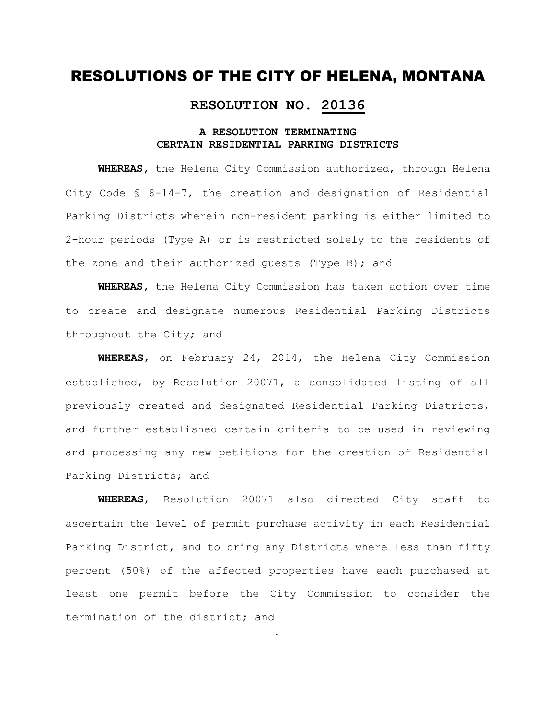#### **RESOLUTION NO. 20136**

#### **A RESOLUTION TERMINATING CERTAIN RESIDENTIAL PARKING DISTRICTS**

**WHEREAS,** the Helena City Commission authorized, through Helena City Code § 8-14-7, the creation and designation of Residential Parking Districts wherein non-resident parking is either limited to 2-hour periods (Type A) or is restricted solely to the residents of the zone and their authorized guests (Type B); and

**WHEREAS,** the Helena City Commission has taken action over time to create and designate numerous Residential Parking Districts throughout the City; and

**WHEREAS**, on February 24, 2014, the Helena City Commission established, by Resolution 20071, a consolidated listing of all previously created and designated Residential Parking Districts, and further established certain criteria to be used in reviewing and processing any new petitions for the creation of Residential Parking Districts; and

**WHEREAS**, Resolution 20071 also directed City staff to ascertain the level of permit purchase activity in each Residential Parking District, and to bring any Districts where less than fifty percent (50%) of the affected properties have each purchased at least one permit before the City Commission to consider the termination of the district; and

1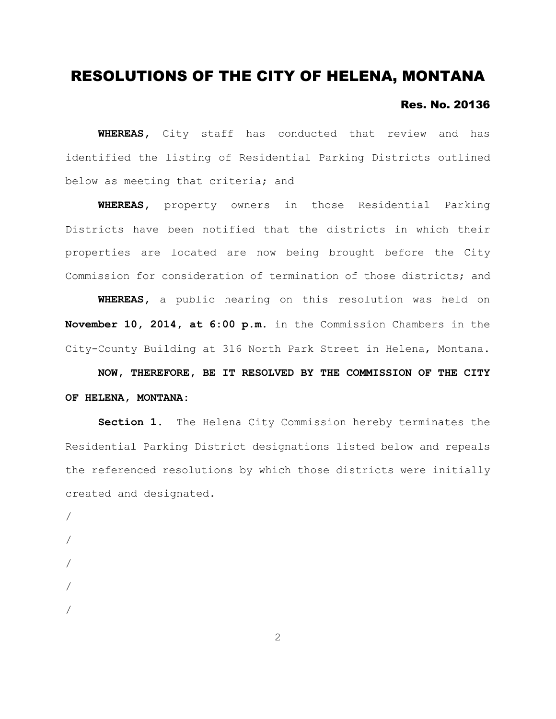#### Res. No. 20136

**WHEREAS,** City staff has conducted that review and has identified the listing of Residential Parking Districts outlined below as meeting that criteria; and

**WHEREAS,** property owners in those Residential Parking Districts have been notified that the districts in which their properties are located are now being brought before the City Commission for consideration of termination of those districts; and

**WHEREAS,** a public hearing on this resolution was held on **November 10, 2014, at 6:00 p.m.** in the Commission Chambers in the City-County Building at 316 North Park Street in Helena, Montana.

**NOW, THEREFORE, BE IT RESOLVED BY THE COMMISSION OF THE CITY OF HELENA, MONTANA:**

**Section 1.** The Helena City Commission hereby terminates the Residential Parking District designations listed below and repeals the referenced resolutions by which those districts were initially created and designated.

/ / / / /

2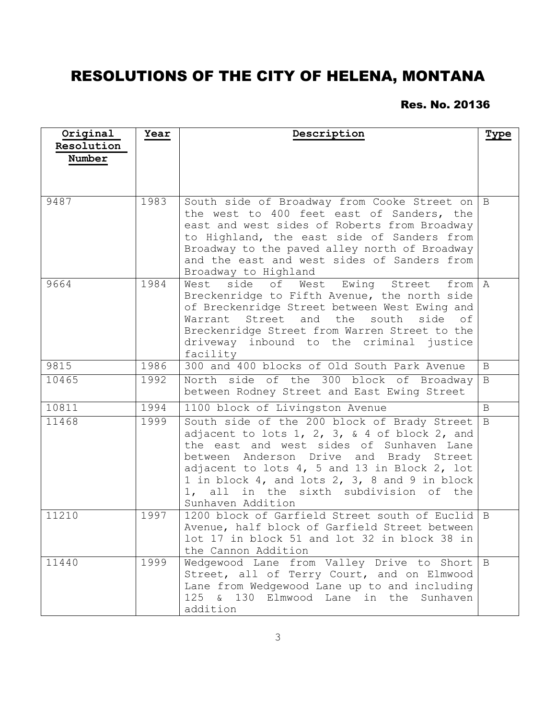### Res. No. 20136

| Original<br>Resolution<br>Number | Year | Description                                                                                                                                                                                                                                                                                                                                         | Type           |
|----------------------------------|------|-----------------------------------------------------------------------------------------------------------------------------------------------------------------------------------------------------------------------------------------------------------------------------------------------------------------------------------------------------|----------------|
| 9487                             | 1983 | South side of Broadway from Cooke Street on<br>the west to 400 feet east of Sanders, the<br>east and west sides of Roberts from Broadway<br>to Highland, the east side of Sanders from<br>Broadway to the paved alley north of Broadway<br>and the east and west sides of Sanders from<br>Broadway to Highland                                      | $\overline{B}$ |
| 9664                             | 1984 | West<br>side<br>of<br>West Ewing<br>Street<br>from A<br>Breckenridge to Fifth Avenue, the north side<br>of Breckenridge Street between West Ewing and<br>Street and the<br>south side of<br>Warrant<br>Breckenridge Street from Warren Street to the<br>driveway inbound to the criminal justice<br>facility                                        |                |
| 9815                             | 1986 | 300 and 400 blocks of Old South Park Avenue                                                                                                                                                                                                                                                                                                         | B              |
| 10465                            | 1992 | North side of the 300 block of Broadway<br>between Rodney Street and East Ewing Street                                                                                                                                                                                                                                                              | $\, {\bf B}$   |
| 10811                            | 1994 | 1100 block of Livingston Avenue                                                                                                                                                                                                                                                                                                                     | $\mathbf{B}$   |
| 11468                            | 1999 | South side of the 200 block of Brady Street<br>adjacent to lots 1, 2, 3, & 4 of block 2, and<br>the east and west sides of Sunhaven Lane<br>between Anderson Drive and Brady Street<br>adjacent to lots 4, 5 and 13 in Block 2, lot<br>1 in block 4, and lots 2, 3, 8 and 9 in block<br>1, all in the sixth subdivision of the<br>Sunhaven Addition | B              |
| 11210                            | 1997 | 1200 block of Garfield Street south of Euclid<br>Avenue, half block of Garfield Street between<br>lot 17 in block 51 and lot 32 in block 38 in<br>the Cannon Addition                                                                                                                                                                               | $\overline{B}$ |
| 11440                            | 1999 | Wedgewood Lane from Valley Drive to Short B<br>Street, all of Terry Court, and on Elmwood<br>Lane from Wedgewood Lane up to and including<br>125 & 130 Elmwood Lane<br>in the<br>Sunhaven<br>addition                                                                                                                                               |                |